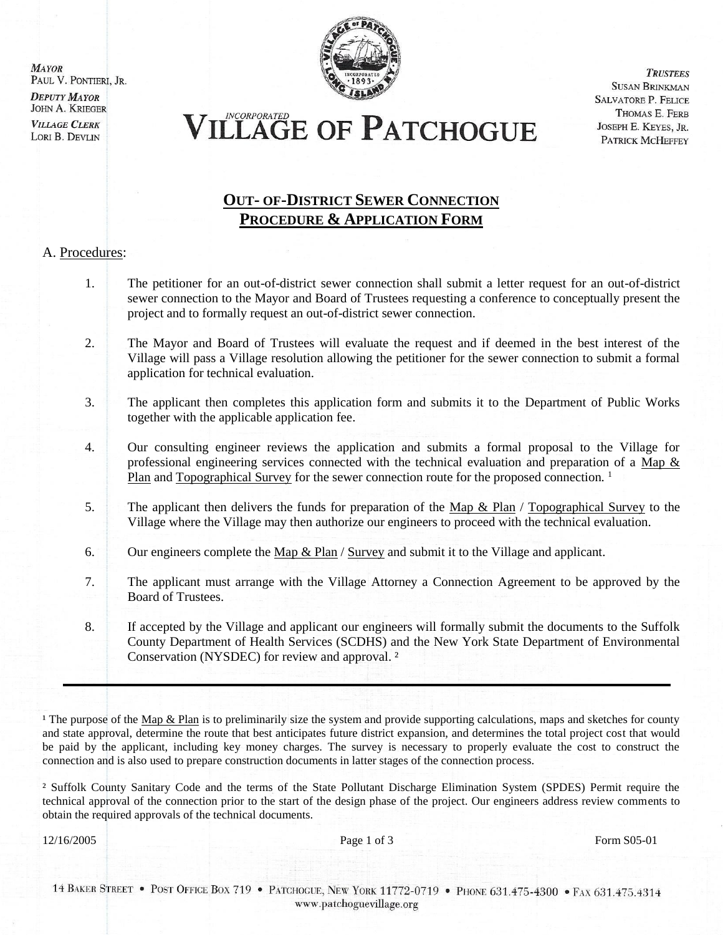**MAYOR** PAUL V. PONTIERI, JR. **DEPUTY MAYOR** 

**JOHN A. KRIEGER VILLAGE CLERK** LORI B. DEVLIN



**TRUSTEES SUSAN BRINKMAN SALVATORE P. FELICE** THOMAS E. FERB JOSEPH E. KEYES, JR. PATRICK MCHEFFEY

# VILLAGE OF PATCHOGUE

#### **OUT- OF-DISTRICT SEWER CONNECTION PROCEDURE & APPLICATION FORM**

#### A. Procedures:

- 1. The petitioner for an out-of-district sewer connection shall submit a letter request for an out-of-district sewer connection to the Mayor and Board of Trustees requesting a conference to conceptually present the project and to formally request an out-of-district sewer connection.
- 2. The Mayor and Board of Trustees will evaluate the request and if deemed in the best interest of the Village will pass a Village resolution allowing the petitioner for the sewer connection to submit a formal application for technical evaluation.
- 3. The applicant then completes this application form and submits it to the Department of Public Works together with the applicable application fee.
- 4. Our consulting engineer reviews the application and submits a formal proposal to the Village for professional engineering services connected with the technical evaluation and preparation of a Map & Plan and Topographical Survey for the sewer connection route for the proposed connection.<sup>1</sup>
- 5. The applicant then delivers the funds for preparation of the Map & Plan / Topographical Survey to the Village where the Village may then authorize our engineers to proceed with the technical evaluation.
- 6. Our engineers complete the Map  $\&$  Plan / Survey and submit it to the Village and applicant.
- 7. The applicant must arrange with the Village Attorney a Connection Agreement to be approved by the Board of Trustees.
- 8. If accepted by the Village and applicant our engineers will formally submit the documents to the Suffolk County Department of Health Services (SCDHS) and the New York State Department of Environmental Conservation (NYSDEC) for review and approval. ²

<sup>1</sup> The purpose of the Map & Plan is to preliminarily size the system and provide supporting calculations, maps and sketches for county and state approval, determine the route that best anticipates future district expansion, and determines the total project cost that would be paid by the applicant, including key money charges. The survey is necessary to properly evaluate the cost to construct the connection and is also used to prepare construction documents in latter stages of the connection process.

² Suffolk County Sanitary Code and the terms of the State Pollutant Discharge Elimination System (SPDES) Permit require the technical approval of the connection prior to the start of the design phase of the project. Our engineers address review comments to obtain the required approvals of the technical documents.

12/16/2005 **Page 1 of 3** Form S05-01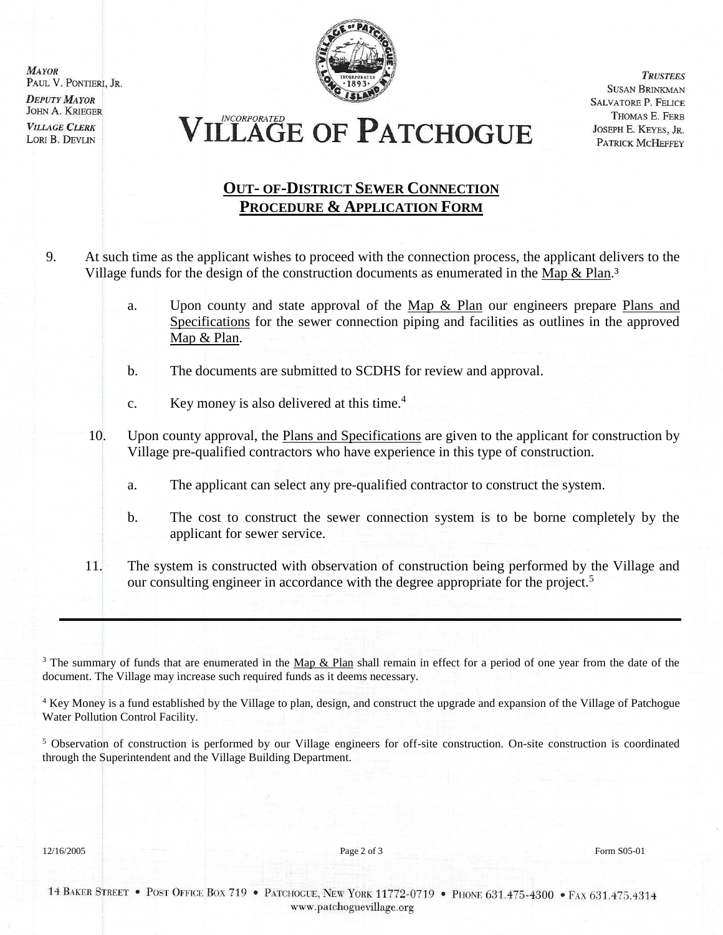**MAYOR** PAUL V. PONTIERI, JR. **DEPUTY MAYOR JOHN A. KRIEGER VILLAGE CLERK** LORI B. DEVLIN



**TRUSTEES SUSAN BRINKMAN SALVATORE P. FELICE** THOMAS E. FERB JOSEPH E. KEYES, JR. PATRICK MCHEFFEY

**ILLAGE OF PATCHOGUE** 

### **OUT- OF-DISTRICT SEWER CONNECTION PROCEDURE & APPLICATION FORM**

- 9. At such time as the applicant wishes to proceed with the connection process, the applicant delivers to the Village funds for the design of the construction documents as enumerated in the Map & Plan.<sup>3</sup>
	- a. Upon county and state approval of the Map & Plan our engineers prepare Plans and Specifications for the sewer connection piping and facilities as outlines in the approved Map & Plan.
	- b. The documents are submitted to SCDHS for review and approval.
	- c. Key money is also delivered at this time.<sup>4</sup>
	- 10. Upon county approval, the Plans and Specifications are given to the applicant for construction by Village pre-qualified contractors who have experience in this type of construction.
		- a. The applicant can select any pre-qualified contractor to construct the system.
		- b. The cost to construct the sewer connection system is to be borne completely by the applicant for sewer service.
	- 11. The system is constructed with observation of construction being performed by the Village and our consulting engineer in accordance with the degree appropriate for the project.<sup>5</sup>

<sup>3</sup> The summary of funds that are enumerated in the  $\text{Map} \& \text{Plan}$  shall remain in effect for a period of one year from the date of the document. The Village may increase such required funds as it deems necessary.

<sup>4</sup> Key Money is a fund established by the Village to plan, design, and construct the upgrade and expansion of the Village of Patchogue Water Pollution Control Facility.

<sup>5</sup> Observation of construction is performed by our Village engineers for off-site construction. On-site construction is coordinated through the Superintendent and the Village Building Department.

12/16/2005 **Page 2 of 3** Form S05-01